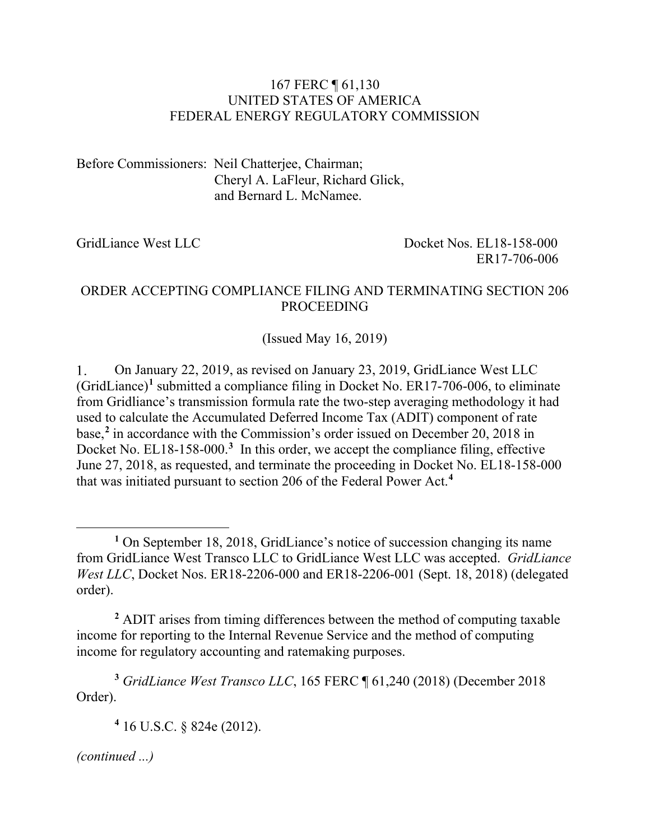#### 167 FERC ¶ 61,130 UNITED STATES OF AMERICA FEDERAL ENERGY REGULATORY COMMISSION

Before Commissioners: Neil Chatterjee, Chairman; Cheryl A. LaFleur, Richard Glick, and Bernard L. McNamee.

GridLiance West LLC Docket Nos. EL18-158-000 ER17-706-006

### ORDER ACCEPTING COMPLIANCE FILING AND TERMINATING SECTION 206 PROCEEDING

(Issued May 16, 2019)

 $1.$ On January 22, 2019, as revised on January 23, 2019, GridLiance West LLC (GridLiance)**[1](#page-0-0)** submitted a compliance filing in Docket No. ER17-706-006, to eliminate from Gridliance's transmission formula rate the two-step averaging methodology it had used to calculate the Accumulated Deferred Income Tax (ADIT) component of rate base, **[2](#page-0-1)** in accordance with the Commission's order issued on December 20, 2018 in Docket No. EL18-158-000.<sup>[3](#page-0-2)</sup> In this order, we accept the compliance filing, effective June 27, 2018, as requested, and terminate the proceeding in Docket No. EL18-158-000 that was initiated pursuant to section 206 of the Federal Power Act.**[4](#page-0-3)**

<span id="page-0-2"></span>**<sup>3</sup>** *GridLiance West Transco LLC*, 165 FERC ¶ 61,240 (2018) (December 2018 Order).

**<sup>4</sup>** 16 U.S.C. § 824e (2012).

<span id="page-0-3"></span>*(continued ...)*

 $\overline{a}$ 

<span id="page-0-0"></span>**<sup>1</sup>** On September 18, 2018, GridLiance's notice of succession changing its name from GridLiance West Transco LLC to GridLiance West LLC was accepted. *GridLiance West LLC*, Docket Nos. ER18-2206-000 and ER18-2206-001 (Sept. 18, 2018) (delegated order).

<span id="page-0-1"></span>**<sup>2</sup>** ADIT arises from timing differences between the method of computing taxable income for reporting to the Internal Revenue Service and the method of computing income for regulatory accounting and ratemaking purposes.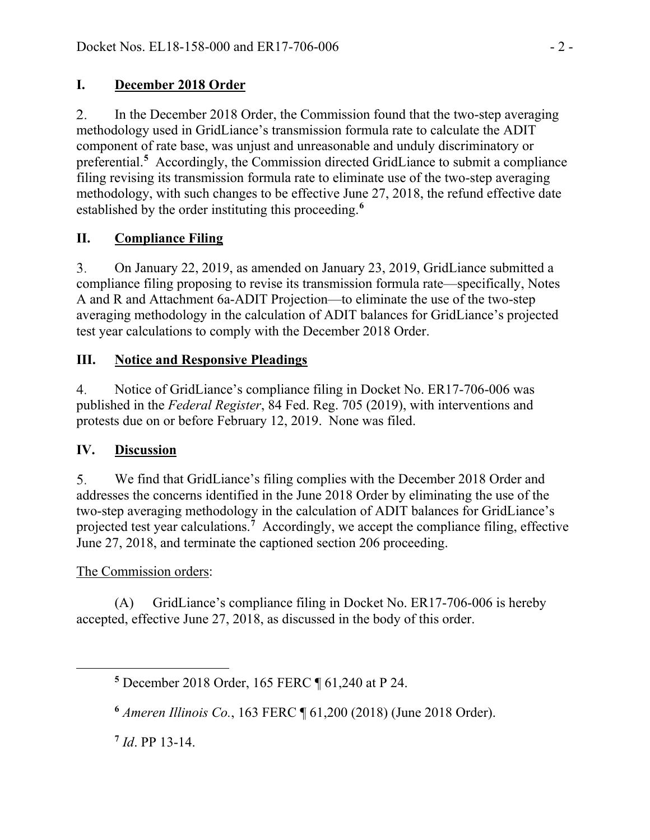### **I. December 2018 Order**

 $\overline{2}$ . In the December 2018 Order, the Commission found that the two-step averaging methodology used in GridLiance's transmission formula rate to calculate the ADIT component of rate base, was unjust and unreasonable and unduly discriminatory or preferential.<sup>[5](#page-1-0)</sup> Accordingly, the Commission directed GridLiance to submit a compliance filing revising its transmission formula rate to eliminate use of the two-step averaging methodology, with such changes to be effective June 27, 2018, the refund effective date established by the order instituting this proceeding. **[6](#page-1-1)**

# **II. Compliance Filing**

 $3<sub>1</sub>$ On January 22, 2019, as amended on January 23, 2019, GridLiance submitted a compliance filing proposing to revise its transmission formula rate—specifically, Notes A and R and Attachment 6a-ADIT Projection—to eliminate the use of the two-step averaging methodology in the calculation of ADIT balances for GridLiance's projected test year calculations to comply with the December 2018 Order.

## **III. Notice and Responsive Pleadings**

 $4.$ Notice of GridLiance's compliance filing in Docket No. ER17-706-006 was published in the *Federal Register*, 84 Fed. Reg. 705 (2019), with interventions and protests due on or before February 12, 2019. None was filed.

# **IV. Discussion**

5. We find that GridLiance's filing complies with the December 2018 Order and addresses the concerns identified in the June 2018 Order by eliminating the use of the two-step averaging methodology in the calculation of ADIT balances for GridLiance's projected test year calculations.**[7](#page-1-2)** Accordingly, we accept the compliance filing, effective June 27, 2018, and terminate the captioned section 206 proceeding.

# The Commission orders:

<span id="page-1-2"></span><span id="page-1-1"></span><span id="page-1-0"></span>

(A) GridLiance's compliance filing in Docket No. ER17-706-006 is hereby accepted, effective June 27, 2018, as discussed in the body of this order.

**<sup>6</sup>** *Ameren Illinois Co.*, 163 FERC ¶ 61,200 (2018) (June 2018 Order).

**<sup>7</sup>** *Id*. PP 13-14.

**<sup>5</sup>** December 2018 Order, 165 FERC ¶ 61,240 at P 24.